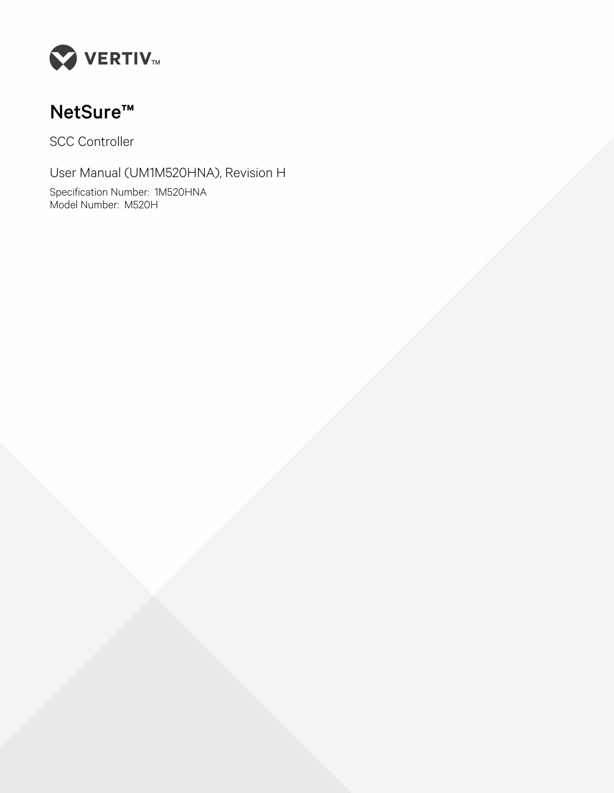

## NetSure™

SCC Controller

User Manual (UM1M520HNA), Revision H Specification Number: 1M520HNA Model Number: M520H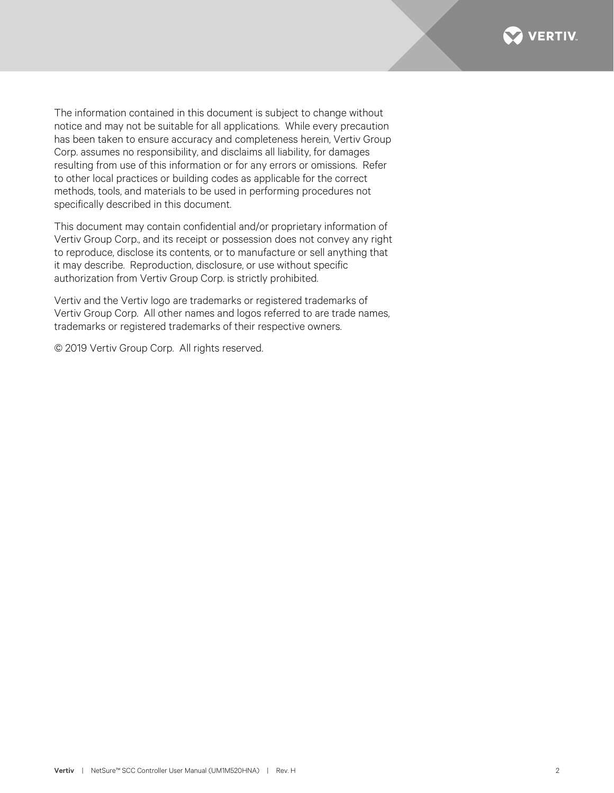

The information contained in this document is subject to change without notice and may not be suitable for all applications. While every precaution has been taken to ensure accuracy and completeness herein, Vertiv Group Corp. assumes no responsibility, and disclaims all liability, for damages resulting from use of this information or for any errors or omissions. Refer to other local practices or building codes as applicable for the correct methods, tools, and materials to be used in performing procedures not specifically described in this document.

This document may contain confidential and/or proprietary information of Vertiv Group Corp., and its receipt or possession does not convey any right to reproduce, disclose its contents, or to manufacture or sell anything that it may describe. Reproduction, disclosure, or use without specific authorization from Vertiv Group Corp. is strictly prohibited.

Vertiv and the Vertiv logo are trademarks or registered trademarks of Vertiv Group Corp. All other names and logos referred to are trade names, trademarks or registered trademarks of their respective owners.

© 2019 Vertiv Group Corp. All rights reserved.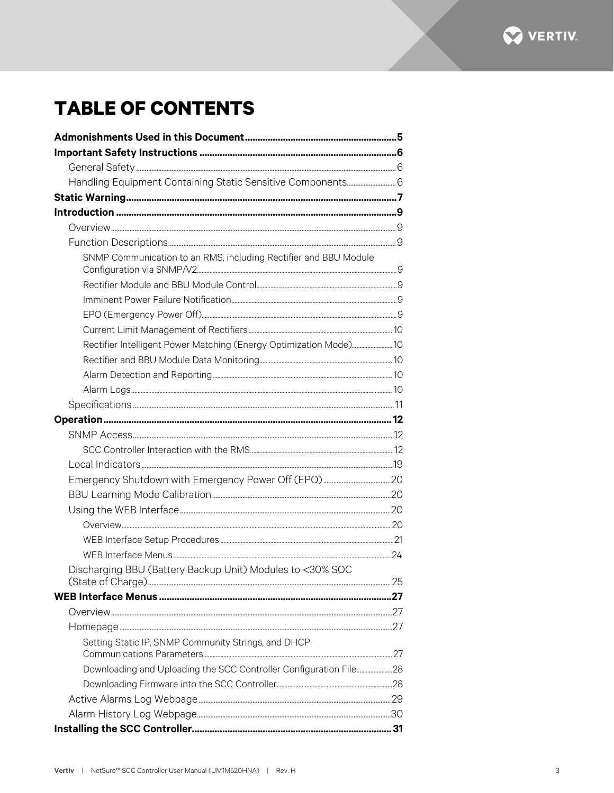

## **TABLE OF CONTENTS**

| Handling Equipment Containing Static Sensitive Components 6       |  |
|-------------------------------------------------------------------|--|
|                                                                   |  |
|                                                                   |  |
|                                                                   |  |
|                                                                   |  |
| SNMP Communication to an RMS, including Rectifier and BBU Module  |  |
|                                                                   |  |
|                                                                   |  |
|                                                                   |  |
|                                                                   |  |
|                                                                   |  |
|                                                                   |  |
|                                                                   |  |
|                                                                   |  |
|                                                                   |  |
|                                                                   |  |
|                                                                   |  |
|                                                                   |  |
|                                                                   |  |
|                                                                   |  |
|                                                                   |  |
|                                                                   |  |
|                                                                   |  |
|                                                                   |  |
|                                                                   |  |
| Discharging BBU (Battery Backup Unit) Modules to <30% SOC         |  |
|                                                                   |  |
|                                                                   |  |
|                                                                   |  |
| Setting Static IP, SNMP Community Strings, and DHCP               |  |
| Downloading and Uploading the SCC Controller Configuration File28 |  |
|                                                                   |  |
|                                                                   |  |
|                                                                   |  |
|                                                                   |  |
|                                                                   |  |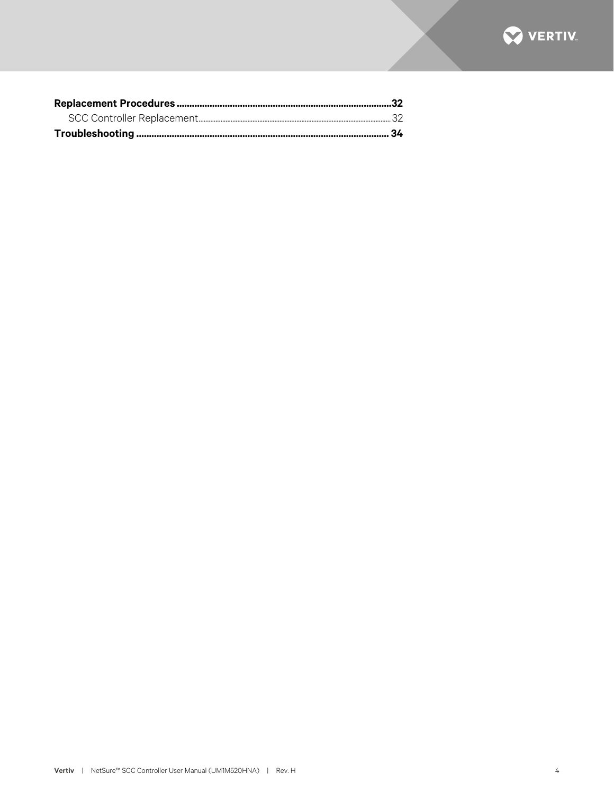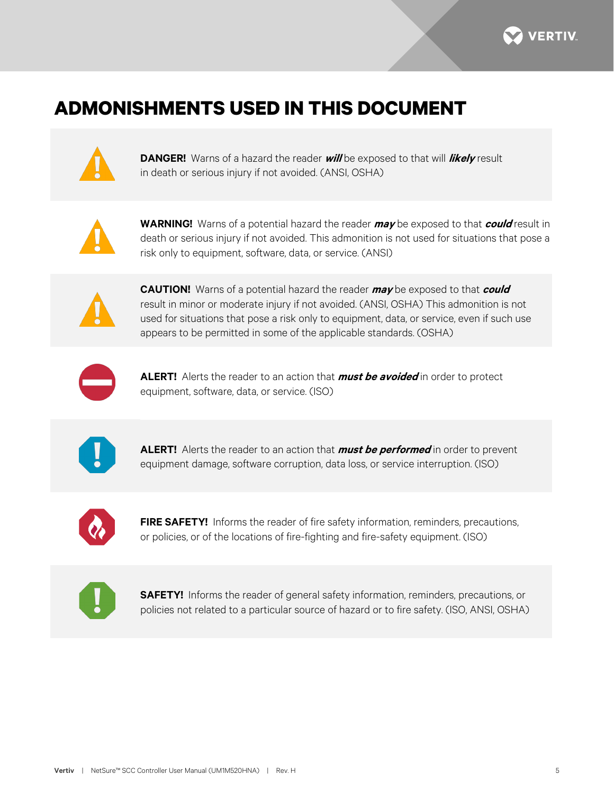

## <span id="page-4-0"></span>**ADMONISHMENTS USED IN THIS DOCUMENT**



**DANGER!** Warns of a hazard the reader **will** be exposed to that will **likely** result in death or serious injury if not avoided. (ANSI, OSHA)



**WARNING!** Warns of a potential hazard the reader **may** be exposed to that **could** result in death or serious injury if not avoided. This admonition is not used for situations that pose a risk only to equipment, software, data, or service. (ANSI)



**CAUTION!** Warns of a potential hazard the reader **may** be exposed to that **could** result in minor or moderate injury if not avoided. (ANSI, OSHA) This admonition is not used for situations that pose a risk only to equipment, data, or service, even if such use appears to be permitted in some of the applicable standards. (OSHA)



**ALERT!** Alerts the reader to an action that **must be avoided** in order to protect equipment, software, data, or service. (ISO)



**ALERT!** Alerts the reader to an action that **must be performed** in order to prevent equipment damage, software corruption, data loss, or service interruption. (ISO)



**FIRE SAFETY!** Informs the reader of fire safety information, reminders, precautions, or policies, or of the locations of fire-fighting and fire-safety equipment. (ISO)



**SAFETY!** Informs the reader of general safety information, reminders, precautions, or policies not related to a particular source of hazard or to fire safety. (ISO, ANSI, OSHA)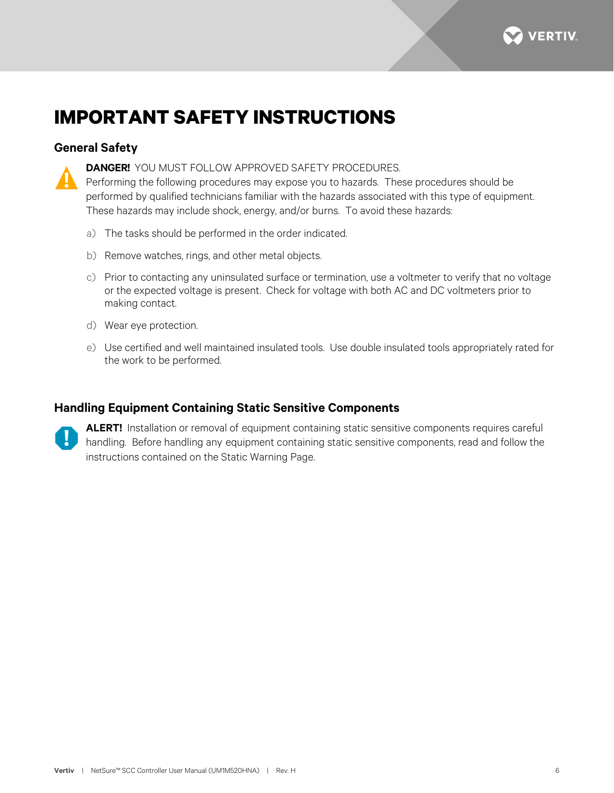

## <span id="page-5-0"></span>**IMPORTANT SAFETY INSTRUCTIONS**

## <span id="page-5-1"></span>**General Safety**



**DANGER!** YOU MUST FOLLOW APPROVED SAFETY PROCEDURES.

Performing the following procedures may expose you to hazards. These procedures should be performed by qualified technicians familiar with the hazards associated with this type of equipment. These hazards may include shock, energy, and/or burns. To avoid these hazards:

- a) The tasks should be performed in the order indicated.
- b) Remove watches, rings, and other metal objects.
- c) Prior to contacting any uninsulated surface or termination, use a voltmeter to verify that no voltage or the expected voltage is present. Check for voltage with both AC and DC voltmeters prior to making contact.
- d) Wear eye protection.
- e) Use certified and well maintained insulated tools. Use double insulated tools appropriately rated for the work to be performed.

## <span id="page-5-2"></span>**Handling Equipment Containing Static Sensitive Components**



**ALERT!** Installation or removal of equipment containing static sensitive components requires careful handling. Before handling any equipment containing static sensitive components, read and follow the instructions contained on the Static Warning Page.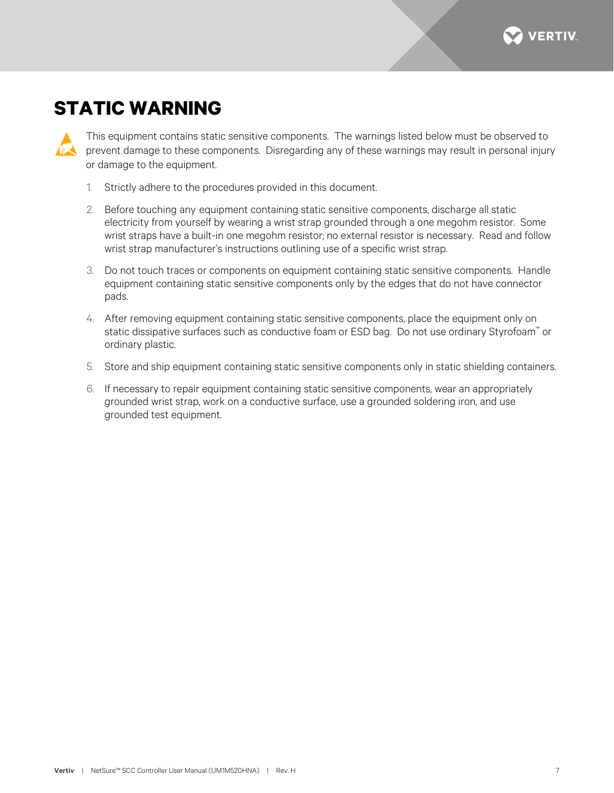

## <span id="page-6-0"></span>**STATIC WARNING**

This equipment contains static sensitive components. The warnings listed below must be observed to prevent damage to these components. Disregarding any of these warnings may result in personal injury or damage to the equipment.

- 1. Strictly adhere to the procedures provided in this document.
- 2. Before touching any equipment containing static sensitive components, discharge all static electricity from yourself by wearing a wrist strap grounded through a one megohm resistor. Some wrist straps have a built-in one megohm resistor; no external resistor is necessary. Read and follow wrist strap manufacturer's instructions outlining use of a specific wrist strap.
- 3. Do not touch traces or components on equipment containing static sensitive components. Handle equipment containing static sensitive components only by the edges that do not have connector pads.
- 4. After removing equipment containing static sensitive components, place the equipment only on static dissipative surfaces such as conductive foam or ESD bag. Do not use ordinary Styrofoam™ or ordinary plastic.
- 5. Store and ship equipment containing static sensitive components only in static shielding containers.
- 6. If necessary to repair equipment containing static sensitive components, wear an appropriately grounded wrist strap, work on a conductive surface, use a grounded soldering iron, and use grounded test equipment.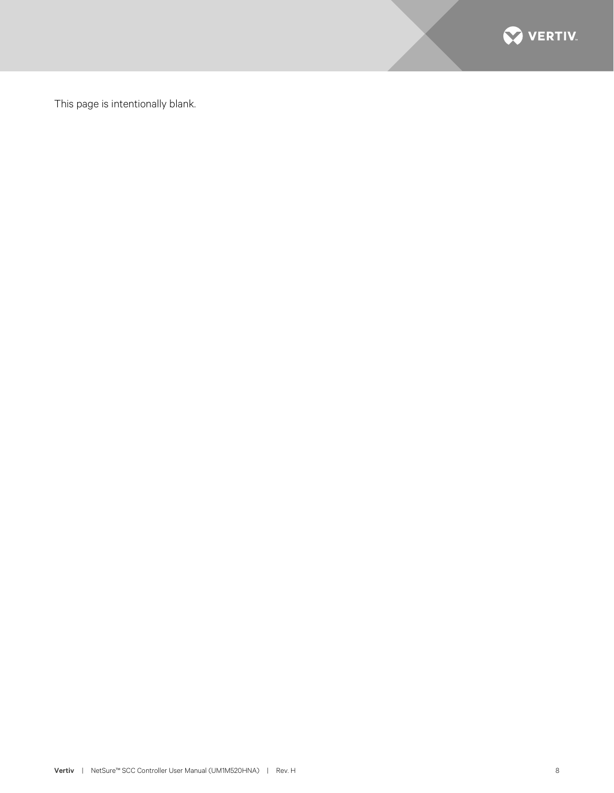

This page is intentionally blank.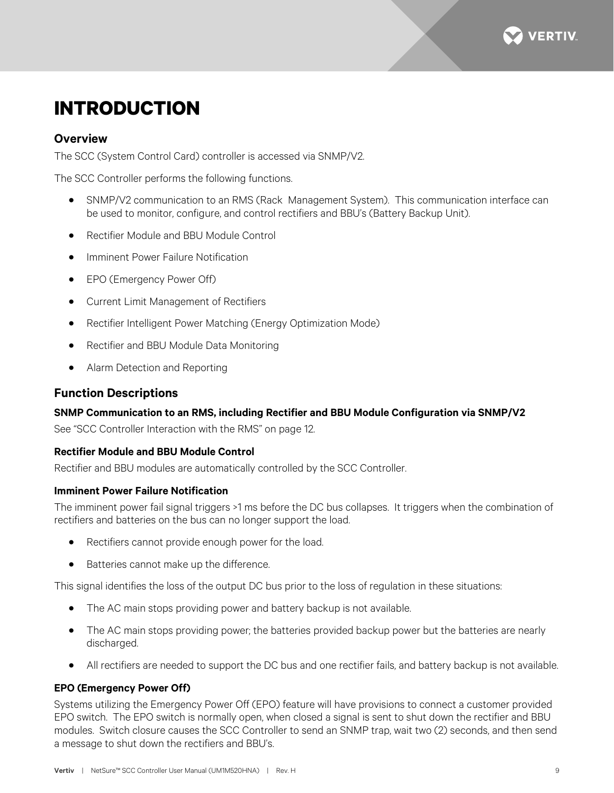

# <span id="page-8-0"></span>**INTRODUCTION**

### <span id="page-8-1"></span>**Overview**

The SCC (System Control Card) controller is accessed via SNMP/V2.

The SCC Controller performs the following functions.

- SNMP/V2 communication to an RMS (Rack Management System). This communication interface can be used to monitor, configure, and control rectifiers and BBU's (Battery Backup Unit).
- Rectifier Module and BBU Module Control
- Imminent Power Failure Notification
- EPO (Emergency Power Off)
- Current Limit Management of Rectifiers
- Rectifier Intelligent Power Matching (Energy Optimization Mode)
- Rectifier and BBU Module Data Monitoring
- Alarm Detection and Reporting

#### <span id="page-8-2"></span>**Function Descriptions**

#### <span id="page-8-3"></span>**SNMP Communication to an RMS, including Rectifier and BBU Module Configuration via SNMP/V2**

See ["SCC Controller Interaction with the RMS"](#page-11-2) on page [12.](#page-11-2)

#### <span id="page-8-4"></span>**Rectifier Module and BBU Module Control**

Rectifier and BBU modules are automatically controlled by the SCC Controller.

#### <span id="page-8-5"></span>**Imminent Power Failure Notification**

The imminent power fail signal triggers >1 ms before the DC bus collapses. It triggers when the combination of rectifiers and batteries on the bus can no longer support the load.

- Rectifiers cannot provide enough power for the load.
- Batteries cannot make up the difference.

This signal identifies the loss of the output DC bus prior to the loss of regulation in these situations:

- The AC main stops providing power and battery backup is not available.
- The AC main stops providing power; the batteries provided backup power but the batteries are nearly discharged.
- All rectifiers are needed to support the DC bus and one rectifier fails, and battery backup is not available.

#### <span id="page-8-6"></span>**EPO (Emergency Power Off)**

Systems utilizing the Emergency Power Off (EPO) feature will have provisions to connect a customer provided EPO switch. The EPO switch is normally open, when closed a signal is sent to shut down the rectifier and BBU modules. Switch closure causes the SCC Controller to send an SNMP trap, wait two (2) seconds, and then send a message to shut down the rectifiers and BBU's.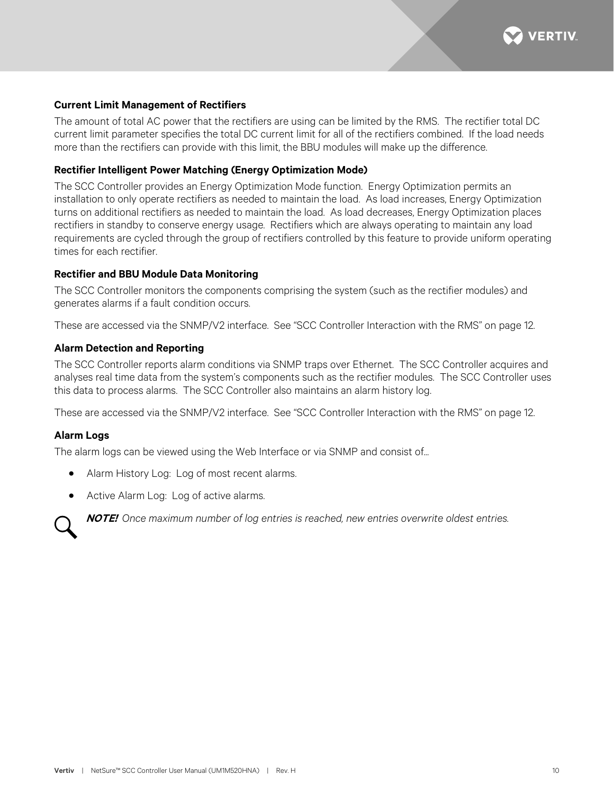

#### <span id="page-9-0"></span>**Current Limit Management of Rectifiers**

The amount of total AC power that the rectifiers are using can be limited by the RMS. The rectifier total DC current limit parameter specifies the total DC current limit for all of the rectifiers combined. If the load needs more than the rectifiers can provide with this limit, the BBU modules will make up the difference.

#### <span id="page-9-1"></span>**Rectifier Intelligent Power Matching (Energy Optimization Mode)**

The SCC Controller provides an Energy Optimization Mode function. Energy Optimization permits an installation to only operate rectifiers as needed to maintain the load. As load increases, Energy Optimization turns on additional rectifiers as needed to maintain the load. As load decreases, Energy Optimization places rectifiers in standby to conserve energy usage. Rectifiers which are always operating to maintain any load requirements are cycled through the group of rectifiers controlled by this feature to provide uniform operating times for each rectifier.

#### <span id="page-9-2"></span>**Rectifier and BBU Module Data Monitoring**

The SCC Controller monitors the components comprising the system (such as the rectifier modules) and generates alarms if a fault condition occurs.

These are accessed via the SNMP/V2 interface. See ["SCC Controller Interaction with the RMS"](#page-11-2) on pag[e 12.](#page-11-2)

#### <span id="page-9-3"></span>**Alarm Detection and Reporting**

The SCC Controller reports alarm conditions via SNMP traps over Ethernet. The SCC Controller acquires and analyses real time data from the system's components such as the rectifier modules. The SCC Controller uses this data to process alarms. The SCC Controller also maintains an alarm history log.

These are accessed via the SNMP/V2 interface. See ["SCC Controller Interaction with the RMS"](#page-11-2) on pag[e 12.](#page-11-2)

#### <span id="page-9-4"></span>**Alarm Logs**

The alarm logs can be viewed using the Web Interface or via SNMP and consist of...

- Alarm History Log: Log of most recent alarms.
- Active Alarm Log: Log of active alarms.



**NOTE!** *Once maximum number of log entries is reached, new entries overwrite oldest entries.*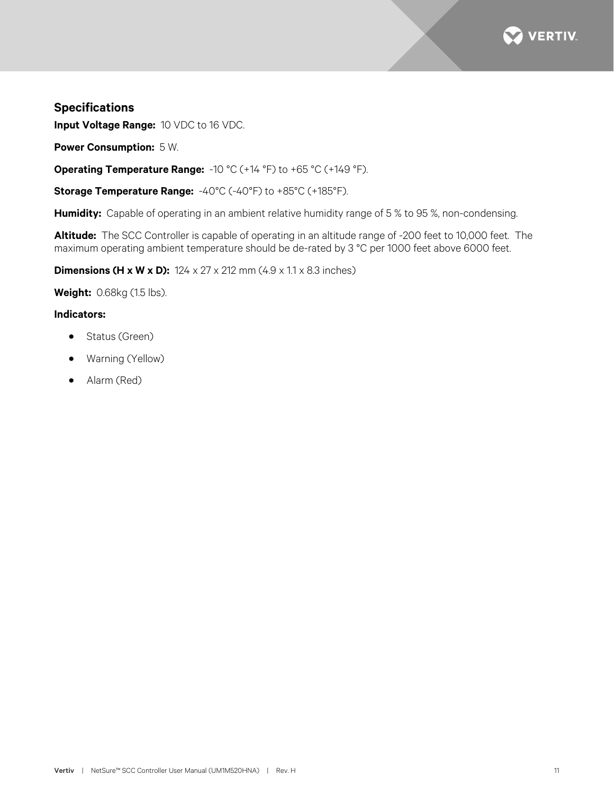

## <span id="page-10-0"></span>**Specifications**

**Input Voltage Range:** 10 VDC to 16 VDC.

**Power Consumption:** 5 W.

**Operating Temperature Range:** -10 °C (+14 °F) to +65 °C (+149 °F).

**Storage Temperature Range:** -40°C (-40°F) to +85°C (+185°F).

**Humidity:** Capable of operating in an ambient relative humidity range of 5 % to 95 %, non-condensing.

**Altitude:** The SCC Controller is capable of operating in an altitude range of -200 feet to 10,000 feet. The maximum operating ambient temperature should be de-rated by 3 °C per 1000 feet above 6000 feet.

**Dimensions (H x W x D):** 124 x 27 x 212 mm (4.9 x 1.1 x 8.3 inches)

**Weight:** 0.68kg (1.5 lbs).

#### **Indicators:**

- Status (Green)
- Warning (Yellow)
- Alarm (Red)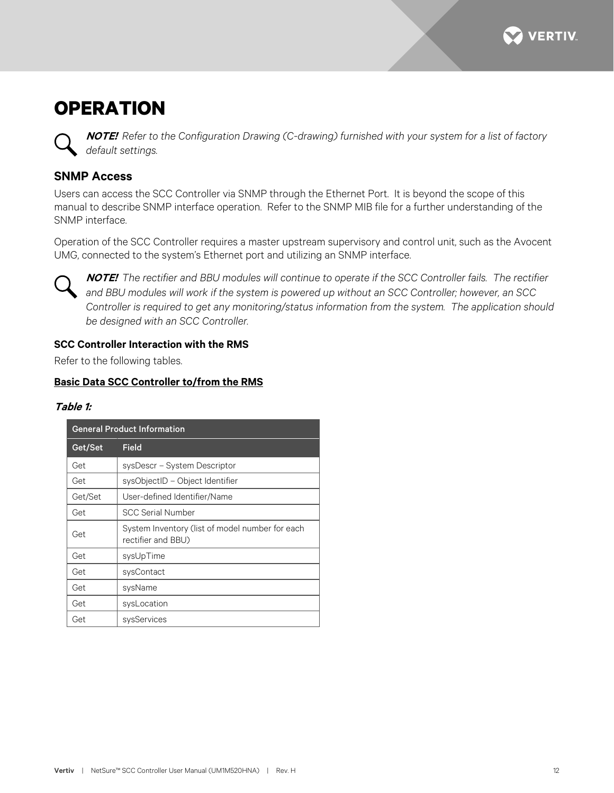

## <span id="page-11-0"></span>**OPERATION**

**NOTE!** *Refer to the Configuration Drawing (C-drawing) furnished with your system for a list of factory default settings.*

## <span id="page-11-1"></span>**SNMP Access**

Users can access the SCC Controller via SNMP through the Ethernet Port. It is beyond the scope of this manual to describe SNMP interface operation. Refer to the SNMP MIB file for a further understanding of the SNMP interface.

Operation of the SCC Controller requires a master upstream supervisory and control unit, such as the Avocent UMG, connected to the system's Ethernet port and utilizing an SNMP interface.



**NOTE!** *The rectifier and BBU modules will continue to operate if the SCC Controller fails. The rectifier and BBU modules will work if the system is powered up without an SCC Controller; however, an SCC Controller is required to get any monitoring/status information from the system. The application should be designed with an SCC Controller.*

## <span id="page-11-2"></span>**SCC Controller Interaction with the RMS**

Refer to the following tables.

## **Basic Data SCC Controller to/from the RMS**

#### **Table 1:**

| <b>General Product Information</b> |                                                                       |  |
|------------------------------------|-----------------------------------------------------------------------|--|
| Get/Set                            | Field                                                                 |  |
| Get                                | sysDescr - System Descriptor                                          |  |
| Get                                | sysObjectID - Object Identifier                                       |  |
| Get/Set                            | User-defined Identifier/Name                                          |  |
| Get                                | <b>SCC Serial Number</b>                                              |  |
| Get                                | System Inventory (list of model number for each<br>rectifier and BBU) |  |
| Get                                | sysUpTime                                                             |  |
| Get                                | sysContact                                                            |  |
| Get                                | sysName                                                               |  |
| Get                                | sysLocation                                                           |  |
| Get                                | sysServices                                                           |  |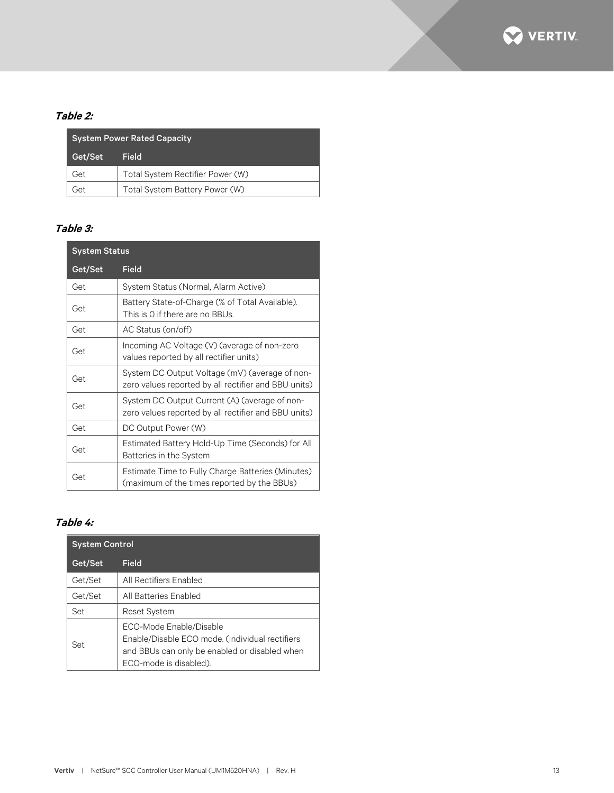

## **Table 2:**

| <b>System Power Rated Capacity</b> |                                  |  |
|------------------------------------|----------------------------------|--|
| Get/Set                            | Field                            |  |
| Get                                | Total System Rectifier Power (W) |  |
| Get                                | Total System Battery Power (W)   |  |

## **Table 3:**

| <b>System Status</b> |                                                                                                        |  |
|----------------------|--------------------------------------------------------------------------------------------------------|--|
| Get/Set              | <b>Field</b>                                                                                           |  |
| Get                  | System Status (Normal, Alarm Active)                                                                   |  |
| Get                  | Battery State-of-Charge (% of Total Available).<br>This is 0 if there are no BBUs.                     |  |
| Get                  | AC Status (on/off)                                                                                     |  |
| Get                  | Incoming AC Voltage (V) (average of non-zero<br>values reported by all rectifier units)                |  |
| Get                  | System DC Output Voltage (mV) (average of non-<br>zero values reported by all rectifier and BBU units) |  |
| Get                  | System DC Output Current (A) (average of non-<br>zero values reported by all rectifier and BBU units)  |  |
| Get                  | DC Output Power (W)                                                                                    |  |
| Get                  | Estimated Battery Hold-Up Time (Seconds) for All<br>Batteries in the System                            |  |
| Get                  | Estimate Time to Fully Charge Batteries (Minutes)<br>(maximum of the times reported by the BBUs)       |  |

### **Table 4:**

| <b>System Control</b> |                                                                                                                                                       |  |
|-----------------------|-------------------------------------------------------------------------------------------------------------------------------------------------------|--|
| Get/Set               | Field                                                                                                                                                 |  |
| Get/Set               | All Rectifiers Enabled                                                                                                                                |  |
| Get/Set               | All Batteries Enabled                                                                                                                                 |  |
| Set                   | <b>Reset System</b>                                                                                                                                   |  |
| Set                   | ECO-Mode Enable/Disable<br>Enable/Disable ECO mode. (Individual rectifiers<br>and BBUs can only be enabled or disabled when<br>ECO-mode is disabled). |  |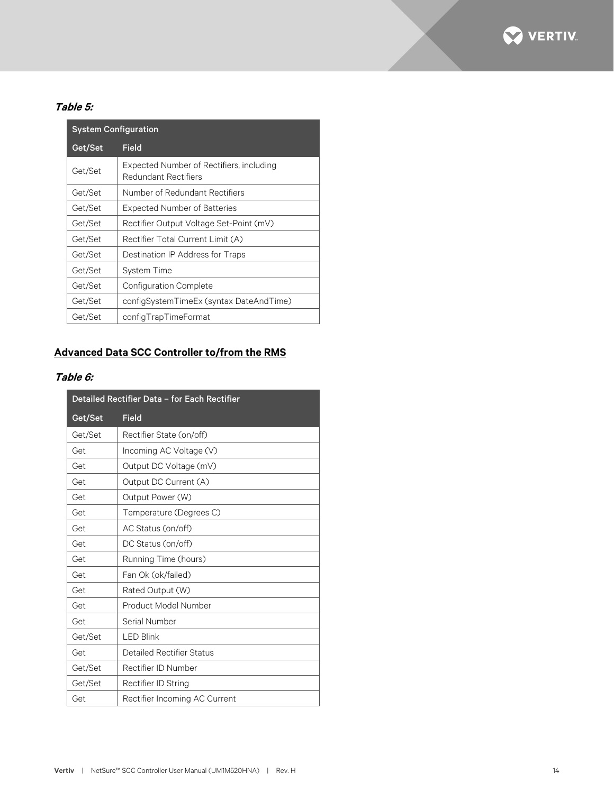

## <span id="page-13-0"></span>**Table 5:**

| <b>System Configuration</b> |                                                                  |  |
|-----------------------------|------------------------------------------------------------------|--|
| Get/Set                     | Field                                                            |  |
| Get/Set                     | Expected Number of Rectifiers, including<br>Redundant Rectifiers |  |
| Get/Set                     | Number of Redundant Rectifiers                                   |  |
| Get/Set                     | <b>Expected Number of Batteries</b>                              |  |
| Get/Set                     | Rectifier Output Voltage Set-Point (mV)                          |  |
| Get/Set                     | Rectifier Total Current Limit (A)                                |  |
| Get/Set                     | Destination IP Address for Traps                                 |  |
| Get/Set                     | System Time                                                      |  |
| Get/Set                     | <b>Configuration Complete</b>                                    |  |
| Get/Set                     | configSystemTimeEx (syntax DateAndTime)                          |  |
| Get/Set                     | configTrapTimeFormat                                             |  |

## **Advanced Data SCC Controller to/from the RMS**

## **Table 6:**

| Detailed Rectifier Data - for Each Rectifier |                                  |
|----------------------------------------------|----------------------------------|
| Get/Set                                      | Field                            |
| Get/Set                                      | Rectifier State (on/off)         |
| Get                                          | Incoming AC Voltage (V)          |
| Get                                          | Output DC Voltage (mV)           |
| Get                                          | Output DC Current (A)            |
| Get                                          | Output Power (W)                 |
| Get                                          | Temperature (Degrees C)          |
| Get                                          | AC Status (on/off)               |
| Get                                          | DC Status (on/off)               |
| Get                                          | Running Time (hours)             |
| Get                                          | Fan Ok (ok/failed)               |
| Get                                          | Rated Output (W)                 |
| Get                                          | Product Model Number             |
| Get                                          | Serial Number                    |
| Get/Set                                      | <b>LED Blink</b>                 |
| Get                                          | <b>Detailed Rectifier Status</b> |
| Get/Set                                      | Rectifier ID Number              |
| Get/Set                                      | Rectifier ID String              |
| Get                                          | Rectifier Incoming AC Current    |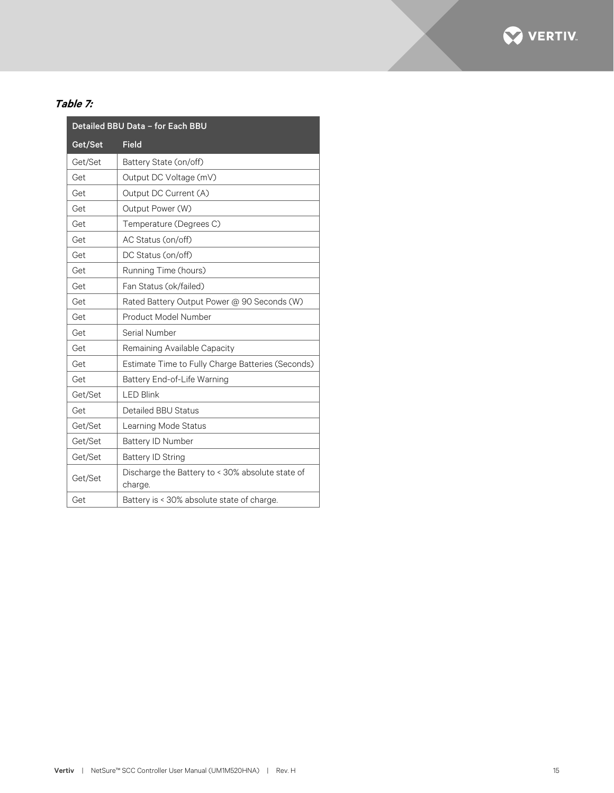

### **Table 7:**

| Detailed BBU Data - for Each BBU |                                                             |  |
|----------------------------------|-------------------------------------------------------------|--|
| Get/Set                          | <b>Field</b>                                                |  |
| Get/Set                          | Battery State (on/off)                                      |  |
| Get                              | Output DC Voltage (mV)                                      |  |
| Get                              | Output DC Current (A)                                       |  |
| Get                              | Output Power (W)                                            |  |
| Get                              | Temperature (Degrees C)                                     |  |
| Get                              | AC Status (on/off)                                          |  |
| Get                              | DC Status (on/off)                                          |  |
| Get                              | Running Time (hours)                                        |  |
| Get                              | Fan Status (ok/failed)                                      |  |
| Get                              | Rated Battery Output Power @ 90 Seconds (W)                 |  |
| Get                              | Product Model Number                                        |  |
| Get                              | Serial Number                                               |  |
| Get                              | Remaining Available Capacity                                |  |
| Get                              | Estimate Time to Fully Charge Batteries (Seconds)           |  |
| Get                              | Battery End-of-Life Warning                                 |  |
| Get/Set                          | <b>LED Blink</b>                                            |  |
| Get                              | Detailed BBU Status                                         |  |
| Get/Set                          | Learning Mode Status                                        |  |
| Get/Set                          | Battery ID Number                                           |  |
| Get/Set                          | <b>Battery ID String</b>                                    |  |
| Get/Set                          | Discharge the Battery to < 30% absolute state of<br>charge. |  |
| Get                              | Battery is < 30% absolute state of charge.                  |  |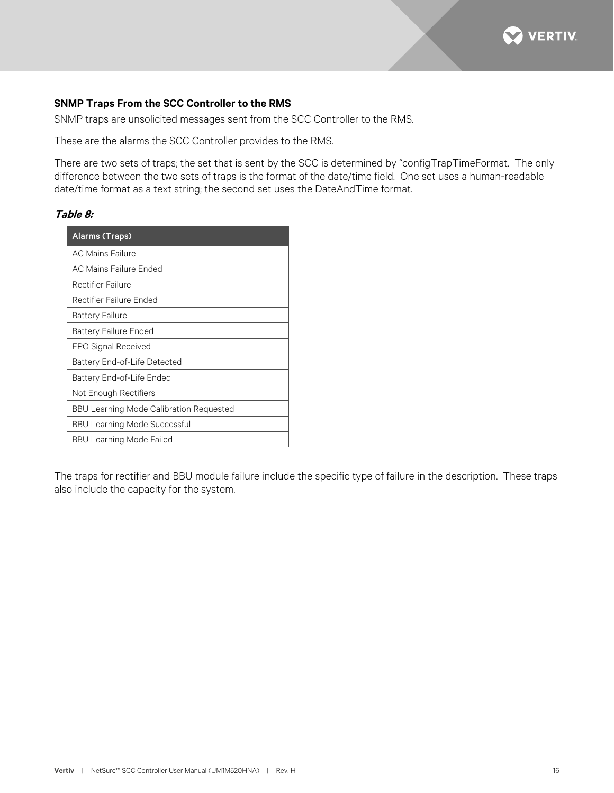

#### **SNMP Traps From the SCC Controller to the RMS**

SNMP traps are unsolicited messages sent from the SCC Controller to the RMS.

These are the alarms the SCC Controller provides to the RMS.

There are two sets of traps; the set that is sent by the SCC is determined by "configTrapTimeFormat. The only difference between the two sets of traps is the format of the date/time field. One set uses a human-readable date/time format as a text string; the second set uses the DateAndTime format.

#### **Table 8:**

| Alarms (Traps)                                 |  |
|------------------------------------------------|--|
| <b>AC Mains Failure</b>                        |  |
| AC Mains Failure Ended                         |  |
| Rectifier Failure                              |  |
| Rectifier Failure Ended                        |  |
| Battery Failure                                |  |
| <b>Battery Failure Ended</b>                   |  |
| EPO Signal Received                            |  |
| <b>Battery End-of-Life Detected</b>            |  |
| <b>Battery End-of-Life Ended</b>               |  |
| Not Enough Rectifiers                          |  |
| <b>BBU Learning Mode Calibration Requested</b> |  |
| BBU Learning Mode Successful                   |  |
| <b>BBU Learning Mode Failed</b>                |  |

The traps for rectifier and BBU module failure include the specific type of failure in the description. These traps also include the capacity for the system.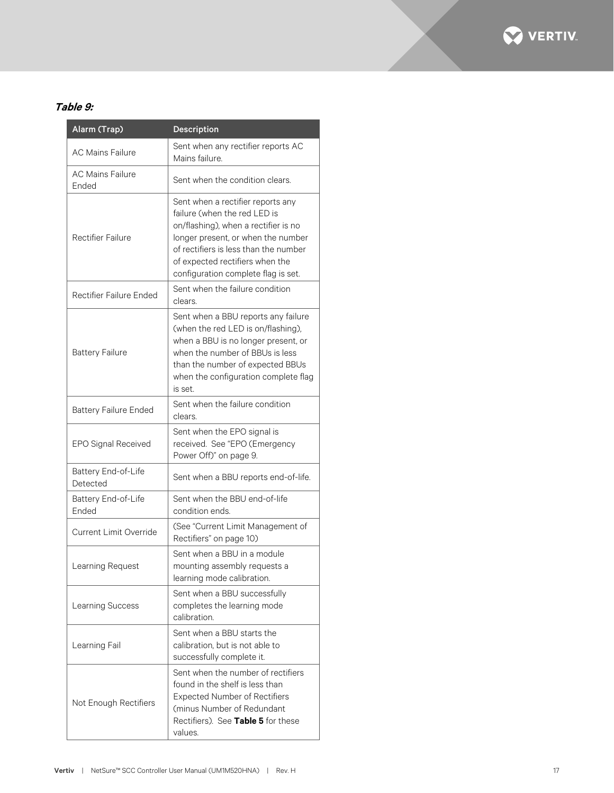

### **Table 9:**

| Alarm (Trap)                     | <b>Description</b>                                                                                                                                                                                                                                                 |
|----------------------------------|--------------------------------------------------------------------------------------------------------------------------------------------------------------------------------------------------------------------------------------------------------------------|
| <b>AC Mains Failure</b>          | Sent when any rectifier reports AC<br>Mains failure.                                                                                                                                                                                                               |
| <b>AC Mains Failure</b><br>Ended | Sent when the condition clears.                                                                                                                                                                                                                                    |
| Rectifier Failure                | Sent when a rectifier reports any<br>failure (when the red LED is<br>on/flashing), when a rectifier is no<br>longer present, or when the number<br>of rectifiers is less than the number<br>of expected rectifiers when the<br>configuration complete flag is set. |
| <b>Rectifier Failure Ended</b>   | Sent when the failure condition<br>clears.                                                                                                                                                                                                                         |
| <b>Battery Failure</b>           | Sent when a BBU reports any failure<br>(when the red LED is on/flashing),<br>when a BBU is no longer present, or<br>when the number of BBUs is less<br>than the number of expected BBUs<br>when the configuration complete flag<br>is set.                         |
| <b>Battery Failure Ended</b>     | Sent when the failure condition<br>clears.                                                                                                                                                                                                                         |
| EPO Signal Received              | Sent when the EPO signal is<br>received. See "EPO (Emergency<br>Power Off)" on page 9.                                                                                                                                                                             |
| Battery End-of-Life<br>Detected  | Sent when a BBU reports end-of-life.                                                                                                                                                                                                                               |
| Battery End-of-Life<br>Ended     | Sent when the BBU end-of-life<br>condition ends.                                                                                                                                                                                                                   |
| <b>Current Limit Override</b>    | (See "Current Limit Management of<br>Rectifiers" on page 10)                                                                                                                                                                                                       |
| Learning Request                 | Sent when a BBU in a module<br>mounting assembly requests a<br>learning mode calibration.                                                                                                                                                                          |
| Learning Success                 | Sent when a BBU successfully<br>completes the learning mode<br>calibration.                                                                                                                                                                                        |
| Learning Fail                    | Sent when a BBU starts the<br>calibration, but is not able to<br>successfully complete it.                                                                                                                                                                         |
| Not Enough Rectifiers            | Sent when the number of rectifiers<br>found in the shelf is less than<br><b>Expected Number of Rectifiers</b><br>(minus Number of Redundant<br>Rectifiers). See Table 5 for these<br>values.                                                                       |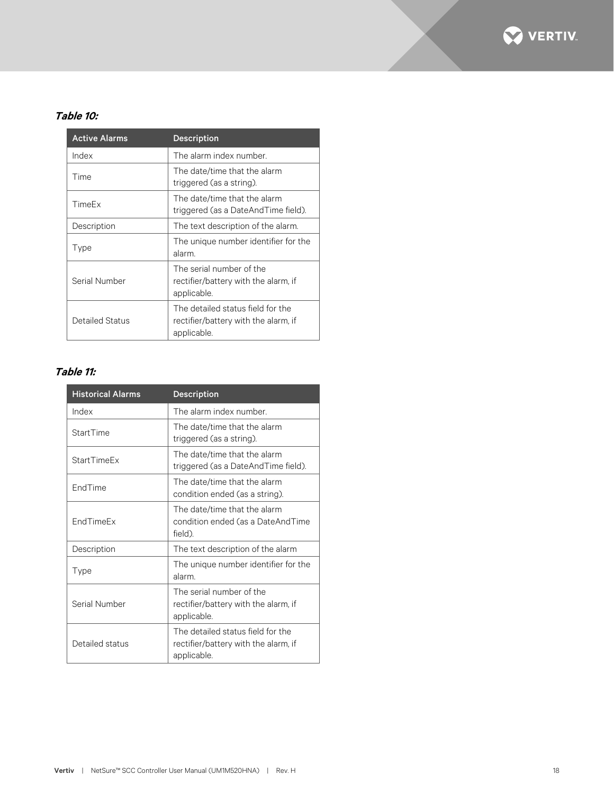

## **Table 10:**

| <b>Active Alarms</b> | Description                                                                              |
|----------------------|------------------------------------------------------------------------------------------|
| Index                | The alarm index number.                                                                  |
| Time                 | The date/time that the alarm<br>triggered (as a string).                                 |
| TimeEx               | The date/time that the alarm<br>triggered (as a DateAndTime field).                      |
| Description          | The text description of the alarm.                                                       |
| Type                 | The unique number identifier for the<br>alarm.                                           |
| Serial Number        | The serial number of the<br>rectifier/battery with the alarm, if<br>applicable.          |
| Detailed Status      | The detailed status field for the<br>rectifier/battery with the alarm, if<br>applicable. |

## **Table 11:**

| <b>Historical Alarms</b> | Description                                                                              |
|--------------------------|------------------------------------------------------------------------------------------|
| Index                    | The alarm index number.                                                                  |
| <b>StartTime</b>         | The date/time that the alarm<br>triggered (as a string).                                 |
| <b>StartTimeEx</b>       | The date/time that the alarm<br>triggered (as a DateAndTime field).                      |
| <b>FndTime</b>           | The date/time that the alarm<br>condition ended (as a string).                           |
| EndTimeEx                | The date/time that the alarm<br>condition ended (as a DateAndTime<br>field).             |
| Description              | The text description of the alarm                                                        |
| Type                     | The unique number identifier for the<br>alarm                                            |
| Serial Number            | The serial number of the<br>rectifier/battery with the alarm, if<br>applicable.          |
| Detailed status          | The detailed status field for the<br>rectifier/battery with the alarm, if<br>applicable. |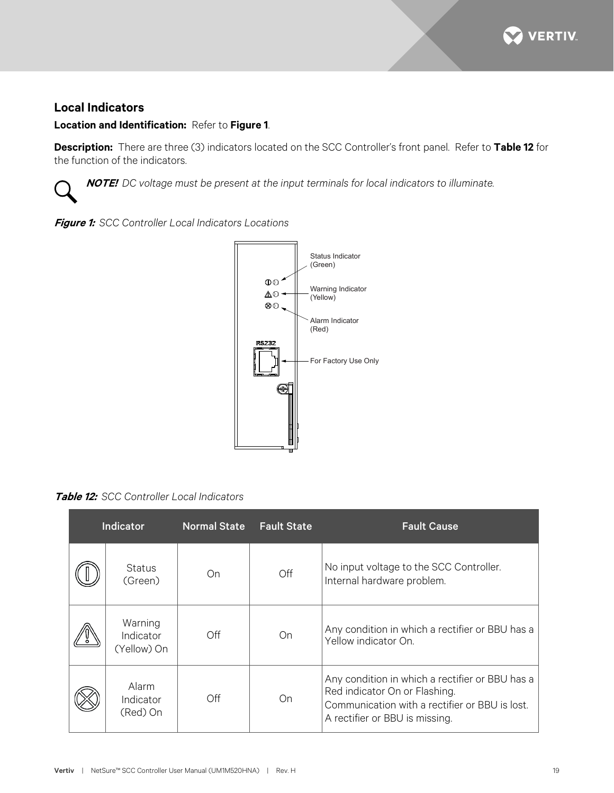

## <span id="page-18-0"></span>**Local Indicators**

## **Location and Identification:** Refer to **[Figure 1](#page-18-1)**.

**Description:** There are three (3) indicators located on the SCC Controller's front panel. Refer to **[Table 12](#page-18-2)** for the function of the indicators.



**NOTE!** *DC voltage must be present at the input terminals for local indicators to illuminate.*

<span id="page-18-1"></span>**Figure 1:** *SCC Controller Local Indicators Locations*



<span id="page-18-2"></span>

| Table 12: SCC Controller Local Indicators |  |
|-------------------------------------------|--|
|-------------------------------------------|--|

| <b>Indicator</b>                    | <b>Normal State</b> | <b>Fault State</b> | <b>Fault Cause</b>                                                                                                                                                   |  |
|-------------------------------------|---------------------|--------------------|----------------------------------------------------------------------------------------------------------------------------------------------------------------------|--|
| <b>Status</b><br>(Green)            | On                  | Off                | No input voltage to the SCC Controller.<br>Internal hardware problem.                                                                                                |  |
| Warning<br>Indicator<br>(Yellow) On | Off                 | On                 | Any condition in which a rectifier or BBU has a<br>Yellow indicator On.                                                                                              |  |
| Alarm<br>Indicator<br>(Red) On      | Off                 | On                 | Any condition in which a rectifier or BBU has a<br>Red indicator On or Flashing.<br>Communication with a rectifier or BBU is lost.<br>A rectifier or BBU is missing. |  |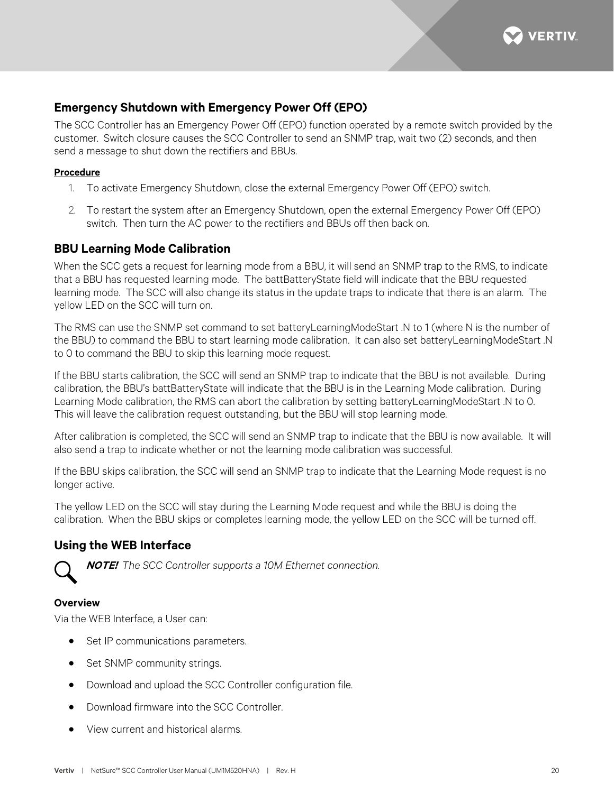

## <span id="page-19-0"></span>**Emergency Shutdown with Emergency Power Off (EPO)**

The SCC Controller has an Emergency Power Off (EPO) function operated by a remote switch provided by the customer. Switch closure causes the SCC Controller to send an SNMP trap, wait two (2) seconds, and then send a message to shut down the rectifiers and BBUs.

#### **Procedure**

- 1. To activate Emergency Shutdown, close the external Emergency Power Off (EPO) switch.
- 2. To restart the system after an Emergency Shutdown, open the external Emergency Power Off (EPO) switch. Then turn the AC power to the rectifiers and BBUs off then back on.

## <span id="page-19-1"></span>**BBU Learning Mode Calibration**

When the SCC gets a request for learning mode from a BBU, it will send an SNMP trap to the RMS, to indicate that a BBU has requested learning mode. The battBatteryState field will indicate that the BBU requested learning mode. The SCC will also change its status in the update traps to indicate that there is an alarm. The yellow LED on the SCC will turn on.

The RMS can use the SNMP set command to set batteryLearningModeStart .N to 1 (where N is the number of the BBU) to command the BBU to start learning mode calibration. It can also set batteryLearningModeStart .N to 0 to command the BBU to skip this learning mode request.

If the BBU starts calibration, the SCC will send an SNMP trap to indicate that the BBU is not available. During calibration, the BBU's battBatteryState will indicate that the BBU is in the Learning Mode calibration. During Learning Mode calibration, the RMS can abort the calibration by setting batteryLearningModeStart .N to 0. This will leave the calibration request outstanding, but the BBU will stop learning mode.

After calibration is completed, the SCC will send an SNMP trap to indicate that the BBU is now available. It will also send a trap to indicate whether or not the learning mode calibration was successful.

If the BBU skips calibration, the SCC will send an SNMP trap to indicate that the Learning Mode request is no longer active.

The yellow LED on the SCC will stay during the Learning Mode request and while the BBU is doing the calibration. When the BBU skips or completes learning mode, the yellow LED on the SCC will be turned off.

## <span id="page-19-2"></span>**Using the WEB Interface**



**NOTE!** *The SCC Controller supports a 10M Ethernet connection.*

#### <span id="page-19-3"></span>**Overview**

Via the WEB Interface, a User can:

- Set IP communications parameters.
- Set SNMP community strings.
- Download and upload the SCC Controller configuration file.
- Download firmware into the SCC Controller.
- View current and historical alarms.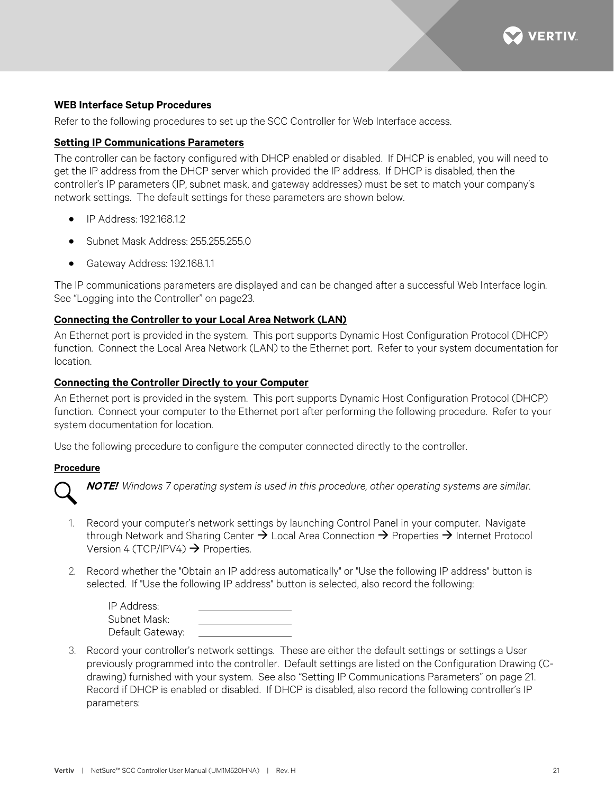

#### <span id="page-20-0"></span>**WEB Interface Setup Procedures**

Refer to the following procedures to set up the SCC Controller for Web Interface access.

#### <span id="page-20-1"></span>**Setting IP Communications Parameters**

The controller can be factory configured with DHCP enabled or disabled. If DHCP is enabled, you will need to get the IP address from the DHCP server which provided the IP address. If DHCP is disabled, then the controller's IP parameters (IP, subnet mask, and gateway addresses) must be set to match your company's network settings. The default settings for these parameters are shown below.

- IP Address: 192.168.1.2
- Subnet Mask Address: 255.255.255.0
- Gateway Address: 192.168.1.1

The IP communications parameters are displayed and can be changed after a successful Web Interface login. See ["Logging into the Controller"](#page-22-0) on pag[e23.](#page-22-0)

#### **Connecting the Controller to your Local Area Network (LAN)**

An Ethernet port is provided in the system. This port supports Dynamic Host Configuration Protocol (DHCP) function. Connect the Local Area Network (LAN) to the Ethernet port. Refer to your system documentation for location.

#### **Connecting the Controller Directly to your Computer**

An Ethernet port is provided in the system. This port supports Dynamic Host Configuration Protocol (DHCP) function. Connect your computer to the Ethernet port after performing the following procedure. Refer to your system documentation for location.

Use the following procedure to configure the computer connected directly to the controller.

#### **Procedure**



**NOTE!** *Windows 7 operating system is used in this procedure, other operating systems are similar.*

- 1. Record your computer's network settings by launching Control Panel in your computer. Navigate through Network and Sharing Center  $\rightarrow$  Local Area Connection  $\rightarrow$  Properties  $\rightarrow$  Internet Protocol Version 4 (TCP/IPV4)  $\rightarrow$  Properties.
- 2. Record whether the "Obtain an IP address automatically" or "Use the following IP address" button is selected. If "Use the following IP address" button is selected, also record the following:

| IP Address:      |  |
|------------------|--|
| Subnet Mask:     |  |
| Default Gateway: |  |

3. Record your controller's network settings. These are either the default settings or settings a User previously programmed into the controller. Default settings are listed on the Configuration Drawing (Cdrawing) furnished with your system. See also ["Setting IP Communications Parameters"](#page-20-1) on page [21.](#page-20-1)  Record if DHCP is enabled or disabled. If DHCP is disabled, also record the following controller's IP parameters: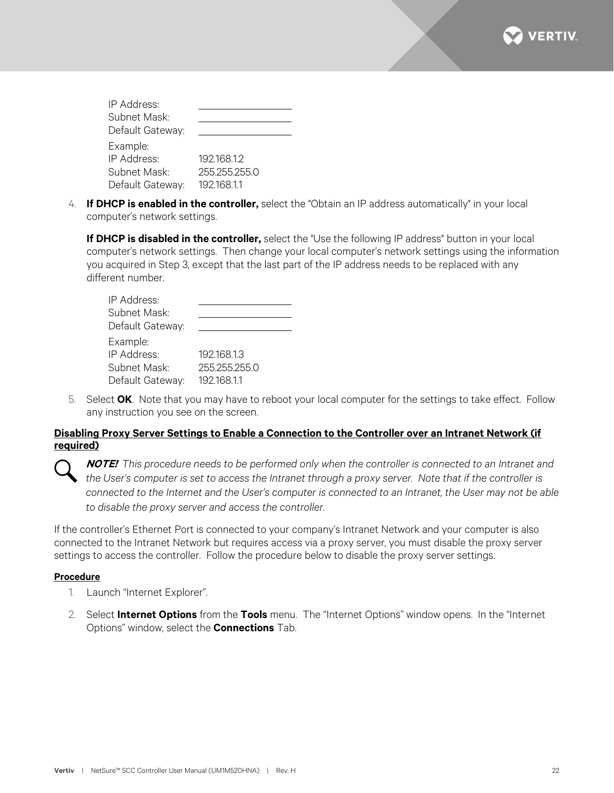

| IP Address:<br>Subnet Mask: |               |
|-----------------------------|---------------|
| Default Gateway:            |               |
| Example:                    |               |
| IP Address:                 | 192.168.1.2   |
| Subnet Mask:                | 255.255.255.0 |
| Default Gateway:            | 192.168.1.1   |

4. **If DHCP is enabled in the controller,** select the "Obtain an IP address automatically" in your local computer's network settings.

**If DHCP is disabled in the controller,** select the "Use the following IP address" button in your local computer's network settings. Then change your local computer's network settings using the information you acquired in Step 3, except that the last part of the IP address needs to be replaced with any different number.

| IP Address:      |               |
|------------------|---------------|
| Subnet Mask:     |               |
| Default Gateway: |               |
| Example:         |               |
| IP Address:      | 192.168.1.3   |
| Subnet Mask:     | 255.255.255.0 |
| Default Gateway: | 192.168.1.1   |

5. Select **OK**. Note that you may have to reboot your local computer for the settings to take effect. Follow any instruction you see on the screen.

#### **Disabling Proxy Server Settings to Enable a Connection to the Controller over an Intranet Network (if required)**



**NOTE!** *This procedure needs to be performed only when the controller is connected to an Intranet and the User's computer is set to access the Intranet through a proxy server. Note that if the controller is connected to the Internet and the User's computer is connected to an Intranet, the User may not be able to disable the proxy server and access the controller.*

If the controller's Ethernet Port is connected to your company's Intranet Network and your computer is also connected to the Intranet Network but requires access via a proxy server, you must disable the proxy server settings to access the controller. Follow the procedure below to disable the proxy server settings.

#### **Procedure**

- 1. Launch "Internet Explorer".
- 2. Select **Internet Options** from the **Tools** menu. The "Internet Options" window opens. In the "Internet Options" window, select the **Connections** Tab.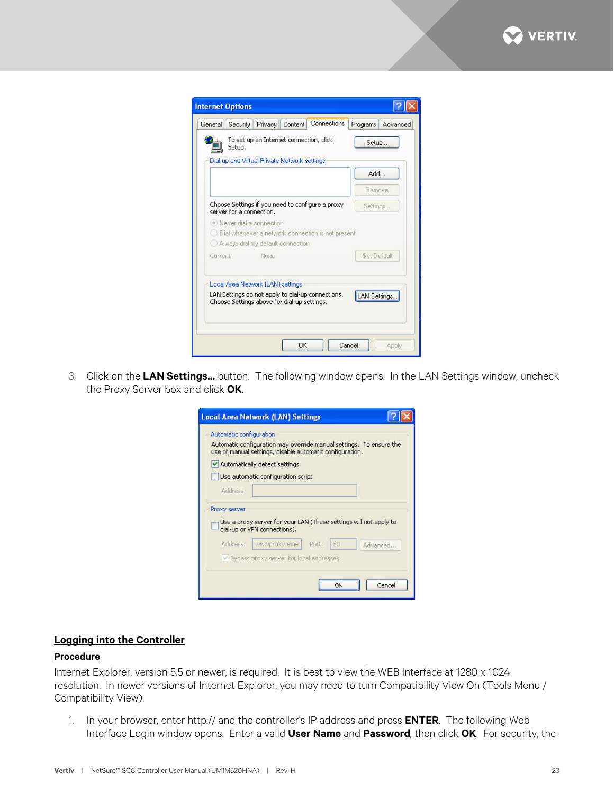

| General | Security                                     | Privacy | Content                                 | Connections                                       | Programs     | Advanced |
|---------|----------------------------------------------|---------|-----------------------------------------|---------------------------------------------------|--------------|----------|
|         | Setup.                                       |         | To set up an Internet connection, click |                                                   | Setup        |          |
|         | Dial-up and Virtual Private Network settings |         |                                         |                                                   |              |          |
|         |                                              |         |                                         |                                                   | Add.         |          |
|         |                                              |         |                                         |                                                   | Remove.      |          |
|         | server for a connection.                     |         |                                         | Choose Settings if you need to configure a proxy  | Settings     |          |
|         | Always dial my default connection            |         |                                         | Dial whenever a network connection is not present |              |          |
| Current |                                              | None.   |                                         |                                                   | Set Default  |          |
|         | Local Area Network (LAN) settings            |         |                                         |                                                   |              |          |
|         | Choose Settings above for dial-up settings.  |         |                                         | LAN Settings do not apply to dial-up connections. | LAN Settings |          |
|         |                                              |         |                                         |                                                   |              |          |

3. Click on the **LAN Settings...** button. The following window opens. In the LAN Settings window, uncheck the Proxy Server box and click **OK**.

| Automatic configuration |                                      | use of manual settings, disable automatic configuration. |    | Automatic configuration may override manual settings. To ensure the |
|-------------------------|--------------------------------------|----------------------------------------------------------|----|---------------------------------------------------------------------|
|                         | $\vee$ Automatically detect settings |                                                          |    |                                                                     |
|                         | Use automatic configuration script   |                                                          |    |                                                                     |
| Address                 |                                      |                                                          |    |                                                                     |
| Proxy server            | dial-up or VPN connections).         |                                                          |    | Use a proxy server for your LAN (These settings will not apply to   |
| Address:                | wwwproxy.eme                         | Port:                                                    | 80 | Advanced                                                            |
|                         |                                      | V Bypass proxy server for local addresses                |    |                                                                     |

#### <span id="page-22-0"></span>**Logging into the Controller**

#### **Procedure**

Internet Explorer, version 5.5 or newer, is required. It is best to view the WEB Interface at 1280 x 1024 resolution. In newer versions of Internet Explorer, you may need to turn Compatibility View On (Tools Menu / Compatibility View).

1. In your browser, enter http:// and the controller's IP address and press **ENTER**. The following Web Interface Login window opens. Enter a valid **User Name** and **Password***,* then click **OK**. For security, the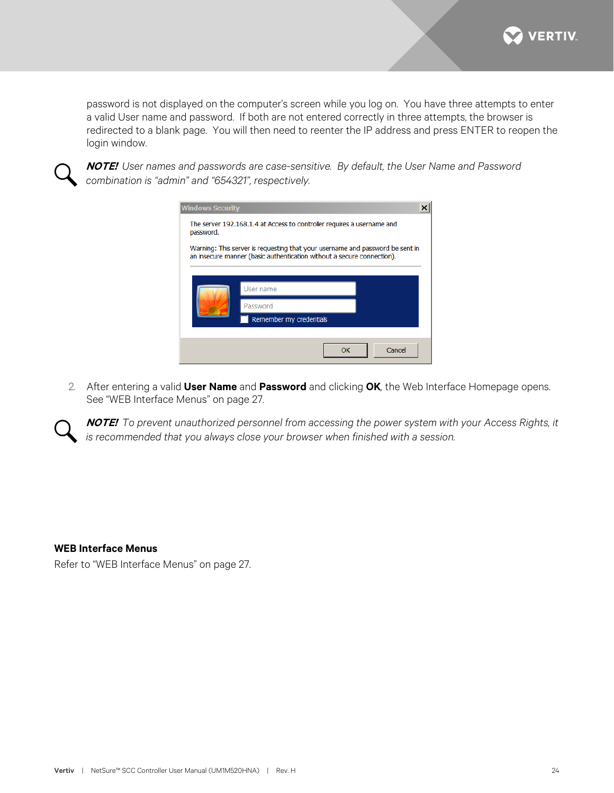

password is not displayed on the computer's screen while you log on. You have three attempts to enter a valid User name and password. If both are not entered correctly in three attempts, the browser is redirected to a blank page. You will then need to reenter the IP address and press ENTER to reopen the login window.



**NOTE!** *User names and passwords are case-sensitive. By default, the User Name and Password combination is "admin" and "654321", respectively.*

| <b>Windows Security</b> |                                                                                                                                                         |
|-------------------------|---------------------------------------------------------------------------------------------------------------------------------------------------------|
| password.               | The server 192.168.1.4 at Access to controller requires a username and                                                                                  |
|                         | Warning: This server is requesting that your username and password be sent in<br>an insecure manner (basic authentication without a secure connection). |
|                         |                                                                                                                                                         |
|                         | Jser name                                                                                                                                               |
|                         | Password                                                                                                                                                |
|                         | Remember my credentials                                                                                                                                 |
|                         |                                                                                                                                                         |
|                         | Cancel<br>OK                                                                                                                                            |

2. After entering a valid **User Name** and **Password** and clicking **OK***,* the Web Interface Homepage opens. See ["WEB Interface Menus"](#page-26-0) on page [27.](#page-26-0)

**NOTE!** *To prevent unauthorized personnel from accessing the power system with your Access Rights, it is recommended that you always close your browser when finished with a session.*

#### <span id="page-23-0"></span>**WEB Interface Menus**

Refer to ["WEB Interface Menus"](#page-26-0) on page [27.](#page-26-0)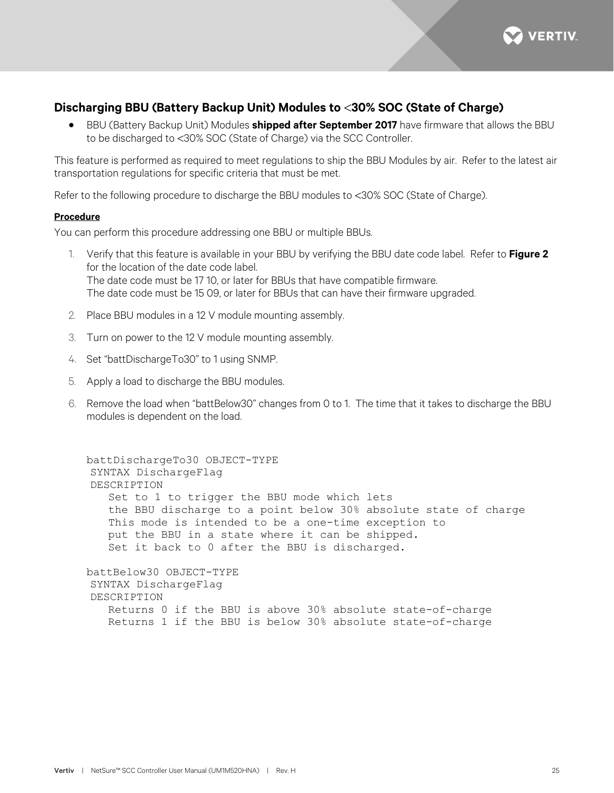

## <span id="page-24-0"></span>**Discharging BBU (Battery Backup Unit) Modules to** <**30% SOC (State of Charge)**

• BBU (Battery Backup Unit) Modules **shipped after September 2017** have firmware that allows the BBU to be discharged to <30% SOC (State of Charge) via the SCC Controller.

This feature is performed as required to meet regulations to ship the BBU Modules by air. Refer to the latest air transportation regulations for specific criteria that must be met.

Refer to the following procedure to discharge the BBU modules to <30% SOC (State of Charge).

#### **Procedure**

You can perform this procedure addressing one BBU or multiple BBUs.

- 1. Verify that this feature is available in your BBU by verifying the BBU date code label. Refer to **[Figure 2](#page-25-0)** for the location of the date code label. The date code must be 17 10, or later for BBUs that have compatible firmware. The date code must be 15 09, or later for BBUs that can have their firmware upgraded.
- 2. Place BBU modules in a 12 V module mounting assembly.
- 3. Turn on power to the 12 V module mounting assembly.
- 4. Set "battDischargeTo30" to 1 using SNMP.
- 5. Apply a load to discharge the BBU modules.
- 6. Remove the load when "battBelow30" changes from 0 to 1. The time that it takes to discharge the BBU modules is dependent on the load.

```
battDischargeTo30 OBJECT-TYPE
SYNTAX DischargeFlag
DESCRIPTION
   Set to 1 to trigger the BBU mode which lets
   the BBU discharge to a point below 30% absolute state of charge
   This mode is intended to be a one-time exception to
   put the BBU in a state where it can be shipped.
   Set it back to 0 after the BBU is discharged.
battBelow30 OBJECT-TYPE
SYNTAX DischargeFlag
DESCRIPTION
   Returns 0 if the BBU is above 30% absolute state-of-charge
```
Returns 1 if the BBU is below 30% absolute state-of-charge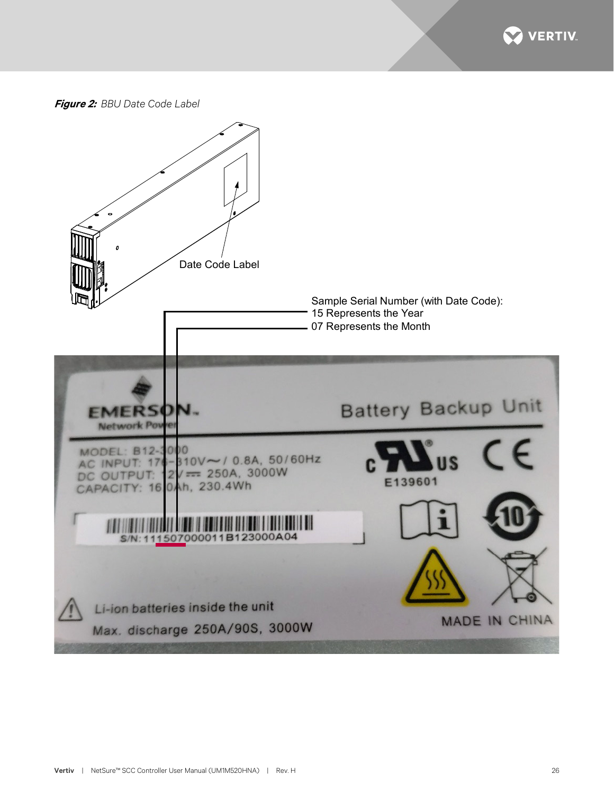

<span id="page-25-0"></span>**Figure 2:** *BBU Date Code Label*

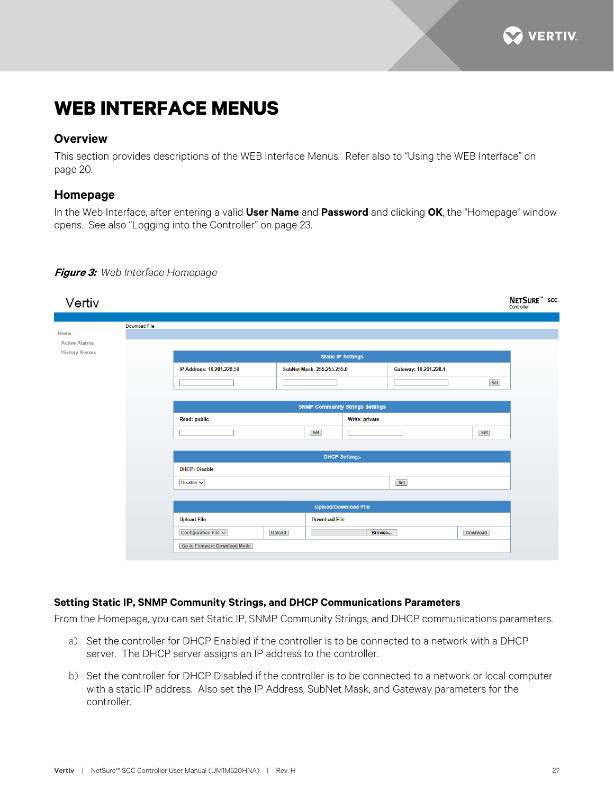

## <span id="page-26-0"></span>**WEB INTERFACE MENUS**

## <span id="page-26-1"></span>**Overview**

This section provides descriptions of the WEB Interface Menus. Refer also to ["Using the WEB Interface"](#page-19-2) on page [20.](#page-19-2)

### <span id="page-26-2"></span>**Homepage**

In the Web Interface, after entering a valid **User Name** and **Password** and clicking **OK**, the "Homepage" window opens. See also ["Logging into the Controller"](#page-22-0) on page [23.](#page-22-0)

#### NETSURE™ scc Vertiv Download File Home **Active Alarms History Alarms Static IP Settings IP Address: 10.201.228.50** SubNet Mask: 255.255.255.0 Gateway: 10.201.228.1 Set ┑ Г ┑ **SNMP Community Strings Settings** Write: private **Read: public**  $\overline{\phantom{0}}$ Set  $\Box$ Set ┓ **DHCP Settings DHCP: Disable** Disable  $\vee$ Set Unload/Download File **Upload File Download File** Configuration File  $\vee$ **Upload** Browse... **Download** Go to Firmware Download Mode

### **Figure 3:** *Web Interface Homepage*

### <span id="page-26-3"></span>**Setting Static IP, SNMP Community Strings, and DHCP Communications Parameters**

From the Homepage, you can set Static IP, SNMP Community Strings, and DHCP communications parameters.

- a) Set the controller for DHCP Enabled if the controller is to be connected to a network with a DHCP server. The DHCP server assigns an IP address to the controller.
- b) Set the controller for DHCP Disabled if the controller is to be connected to a network or local computer with a static IP address. Also set the IP Address, SubNet Mask, and Gateway parameters for the controller.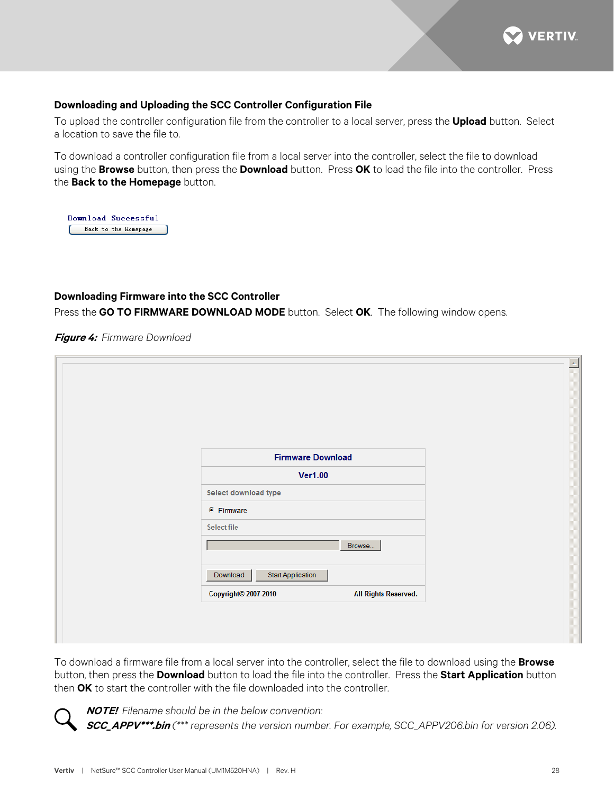

#### <span id="page-27-0"></span>**Downloading and Uploading the SCC Controller Configuration File**

To upload the controller configuration file from the controller to a local server, press the **Upload** button. Select a location to save the file to.

To download a controller configuration file from a local server into the controller, select the file to download using the **Browse** button, then press the **Download** button. Press **OK** to load the file into the controller. Press the **Back to the Homepage** button.

Download Successful Back to the Homepage

#### <span id="page-27-1"></span>**Downloading Firmware into the SCC Controller**

Press the **GO TO FIRMWARE DOWNLOAD MODE** button. Select **OK**. The following window opens.

#### **Figure 4:** *Firmware Download*

| <b>Firmware Download</b>                                 |  |
|----------------------------------------------------------|--|
| <b>Ver1.00</b>                                           |  |
| Select download type                                     |  |
| $C$ Firmware                                             |  |
| Select file                                              |  |
| Browse                                                   |  |
| Download<br>Start Application                            |  |
| Copyright <sup>©</sup> 2007-2010<br>All Rights Reserved. |  |
|                                                          |  |
|                                                          |  |
|                                                          |  |
|                                                          |  |

To download a firmware file from a local server into the controller, select the file to download using the **Browse** button, then press the **Download** button to load the file into the controller. Press the **Start Application** button then **OK** to start the controller with the file downloaded into the controller.

**NOTE!** *Filename should be in the below convention:*

**SCC\_APPV\*\*\*.bin** *(\*\*\* represents the version number. For example, SCC\_APPV206.bin for version 2.06).*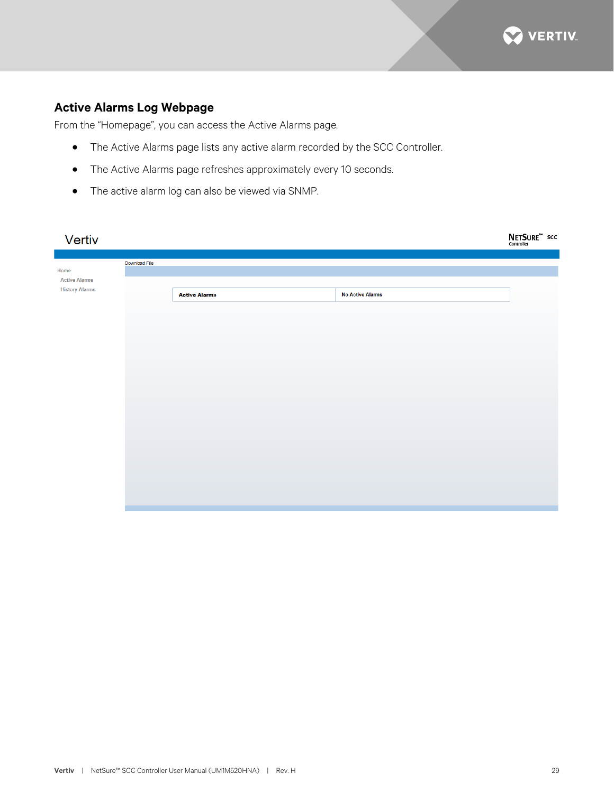

## <span id="page-28-0"></span>**Active Alarms Log Webpage**

From the "Homepage", you can access the Active Alarms page.

- The Active Alarms page lists any active alarm recorded by the SCC Controller.
- The Active Alarms page refreshes approximately every 10 seconds.
- The active alarm log can also be viewed via SNMP.

| Vertiv                                        |               |                      |                         | NETSURE <sup>TM</sup> SCC |  |
|-----------------------------------------------|---------------|----------------------|-------------------------|---------------------------|--|
| Home                                          | Download File |                      |                         |                           |  |
| <b>Active Alarms</b><br><b>History Alarms</b> |               |                      |                         |                           |  |
|                                               |               | <b>Active Alarms</b> | <b>No Active Alarms</b> |                           |  |
|                                               |               |                      |                         |                           |  |
|                                               |               |                      |                         |                           |  |
|                                               |               |                      |                         |                           |  |
|                                               |               |                      |                         |                           |  |
|                                               |               |                      |                         |                           |  |
|                                               |               |                      |                         |                           |  |
|                                               |               |                      |                         |                           |  |
|                                               |               |                      |                         |                           |  |
|                                               |               |                      |                         |                           |  |
|                                               |               |                      |                         |                           |  |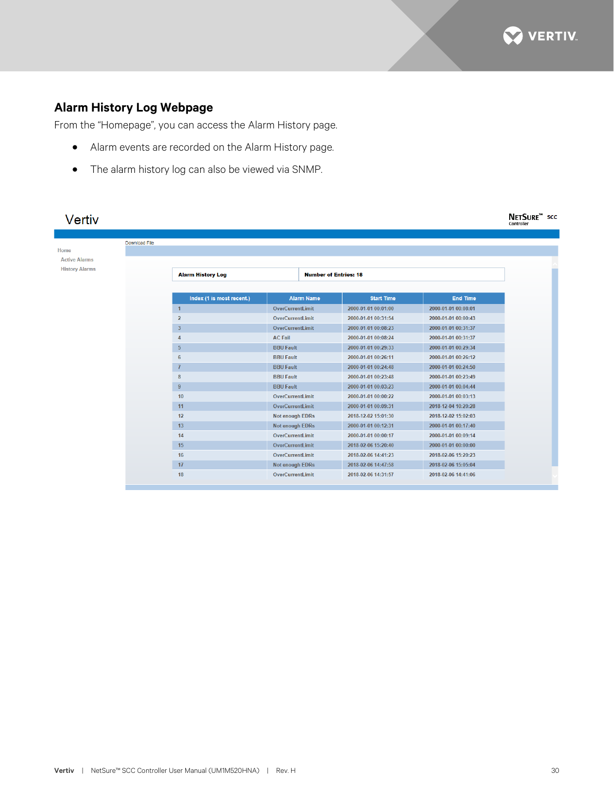

## <span id="page-29-0"></span>**Alarm History Log Webpage**

From the "Homepage", you can access the Alarm History page.

- Alarm events are recorded on the Alarm History page.
- The alarm history log can also be viewed via SNMP.

| Vertiv                       |               |                           |                         |                              |                     |                     | NETSURE™ scc<br>Controller |
|------------------------------|---------------|---------------------------|-------------------------|------------------------------|---------------------|---------------------|----------------------------|
|                              |               |                           |                         |                              |                     |                     |                            |
|                              | Download File |                           |                         |                              |                     |                     |                            |
| Home<br><b>Active Alarms</b> |               |                           |                         |                              |                     |                     |                            |
| <b>History Alarms</b>        |               |                           |                         |                              |                     |                     |                            |
|                              |               | <b>Alarm History Log</b>  |                         | <b>Number of Entries: 18</b> |                     |                     |                            |
|                              |               |                           |                         |                              |                     |                     |                            |
|                              |               | Index (1 is most recent.) |                         | <b>Alarm Name</b>            | <b>Start Time</b>   | <b>End Time</b>     |                            |
|                              |               | $\mathbf{1}$              | OverCurrentLimit        |                              | 2000-01-01 00:01:00 | 2000-01-01 00:08:01 |                            |
|                              |               | $\overline{2}$            | OverCurrentLimit        |                              | 2000-01-01 00:31:54 | 2000-01-01 00:00:43 |                            |
|                              |               | $\overline{3}$            | OverCurrentLimit        |                              | 2000-01-01 00:08:23 | 2000-01-01 00:31:37 |                            |
|                              |               | $\overline{4}$            | <b>AC Fail</b>          |                              | 2000-01-01 00:08:24 | 2000-01-01 00:31:37 |                            |
|                              |               | $\overline{5}$            | <b>BBU Fault</b>        |                              | 2000-01-01 00:29:33 | 2000-01-01 00:29:34 |                            |
|                              |               | $6\phantom{1}6$           | <b>BBU Fault</b>        |                              | 2000-01-01 00:26:11 | 2000-01-01 00:26:12 |                            |
|                              |               | $\overline{7}$            | <b>BBU Fault</b>        |                              | 2000-01-01 00:24:48 | 2000-01-01 00:24:50 |                            |
|                              |               | 8                         | <b>BBU Fault</b>        |                              | 2000-01-01 00:23:48 | 2000-01-01 00:23:49 |                            |
|                              |               | 9                         | <b>BBU Fault</b>        |                              | 2000-01-01 00:03:23 | 2000-01-01 00:04:44 |                            |
|                              |               | 10                        | <b>OverCurrentLimit</b> |                              | 2000-01-01 00:00:22 | 2000-01-01 00:03:13 |                            |
|                              |               | 11                        | OverCurrentLimit        |                              | 2000-01-01 00:09:31 | 2018-12-04 10:20:28 |                            |
|                              |               | 12                        | <b>Not enough EDRs</b>  |                              | 2018-12-02 15:01:30 | 2018-12-02 15:02:03 |                            |
|                              |               | 13                        | <b>Not enough EDRs</b>  |                              | 2000-01-01 00:12:31 | 2000-01-01 00:17:40 |                            |
|                              |               | 14                        | <b>OverCurrentLimit</b> |                              | 2000-01-01 00:00:17 | 2000-01-01 00:09:14 |                            |
|                              |               | 15                        | <b>OverCurrentLimit</b> |                              | 2018-02-06 15:20:40 | 2000-01-01 00:00:00 |                            |
|                              |               | 16                        | <b>OverCurrentLimit</b> |                              | 2018-02-06 14:41:23 | 2018-02-06 15:20:23 |                            |
|                              |               | 17                        | <b>Not enough EDRs</b>  |                              | 2018-02-06 14:47:58 | 2018-02-06 15:05:04 |                            |
|                              |               | 18                        | <b>OverCurrentLimit</b> |                              | 2018-02-06 14:31:57 | 2018-02-06 14:41:06 |                            |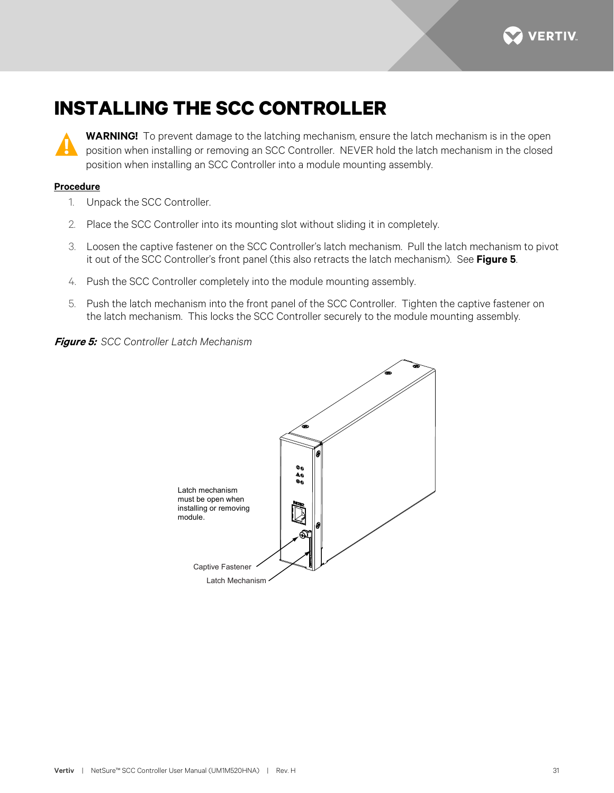

## <span id="page-30-0"></span>**INSTALLING THE SCC CONTROLLER**



**WARNING!** To prevent damage to the latching mechanism, ensure the latch mechanism is in the open position when installing or removing an SCC Controller. NEVER hold the latch mechanism in the closed position when installing an SCC Controller into a module mounting assembly.

#### **Procedure**

- 1. Unpack the SCC Controller.
- 2. Place the SCC Controller into its mounting slot without sliding it in completely.
- 3. Loosen the captive fastener on the SCC Controller's latch mechanism. Pull the latch mechanism to pivot it out of the SCC Controller's front panel (this also retracts the latch mechanism). See **[Figure 5](#page-30-1)**.
- 4. Push the SCC Controller completely into the module mounting assembly.
- 5. Push the latch mechanism into the front panel of the SCC Controller. Tighten the captive fastener on the latch mechanism. This locks the SCC Controller securely to the module mounting assembly.

<span id="page-30-1"></span>**Figure 5:** *SCC Controller Latch Mechanism*

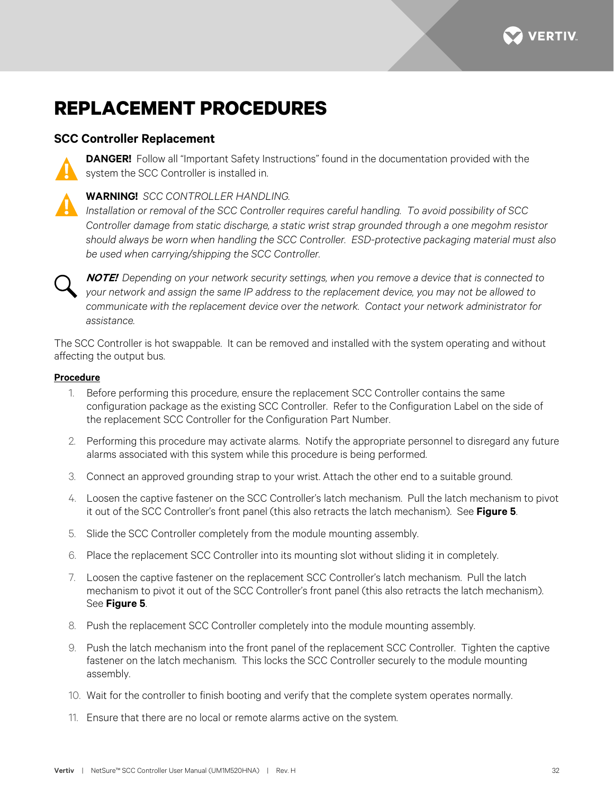

## <span id="page-31-0"></span>**REPLACEMENT PROCEDURES**

## <span id="page-31-1"></span>**SCC Controller Replacement**



**DANGER!** Follow all "Important Safety Instructions" found in the documentation provided with the system the SCC Controller is installed in.



*Installation or removal of the SCC Controller requires careful handling. To avoid possibility of SCC Controller damage from static discharge, a static wrist strap grounded through a one megohm resistor should always be worn when handling the SCC Controller. ESD-protective packaging material must also be used when carrying/shipping the SCC Controller.*



**NOTE!** *Depending on your network security settings, when you remove a device that is connected to your network and assign the same IP address to the replacement device, you may not be allowed to communicate with the replacement device over the network. Contact your network administrator for assistance.*

The SCC Controller is hot swappable. It can be removed and installed with the system operating and without affecting the output bus.

#### **Procedure**

- 1. Before performing this procedure, ensure the replacement SCC Controller contains the same configuration package as the existing SCC Controller. Refer to the Configuration Label on the side of the replacement SCC Controller for the Configuration Part Number.
- 2. Performing this procedure may activate alarms. Notify the appropriate personnel to disregard any future alarms associated with this system while this procedure is being performed.
- 3. Connect an approved grounding strap to your wrist. Attach the other end to a suitable ground.
- 4. Loosen the captive fastener on the SCC Controller's latch mechanism. Pull the latch mechanism to pivot it out of the SCC Controller's front panel (this also retracts the latch mechanism). See **[Figure 5](#page-30-1)**.
- 5. Slide the SCC Controller completely from the module mounting assembly.
- 6. Place the replacement SCC Controller into its mounting slot without sliding it in completely.
- 7. Loosen the captive fastener on the replacement SCC Controller's latch mechanism. Pull the latch mechanism to pivot it out of the SCC Controller's front panel (this also retracts the latch mechanism). See **[Figure 5](#page-30-1)**.
- 8. Push the replacement SCC Controller completely into the module mounting assembly.
- 9. Push the latch mechanism into the front panel of the replacement SCC Controller. Tighten the captive fastener on the latch mechanism. This locks the SCC Controller securely to the module mounting assembly.
- 10. Wait for the controller to finish booting and verify that the complete system operates normally.
- 11. Ensure that there are no local or remote alarms active on the system.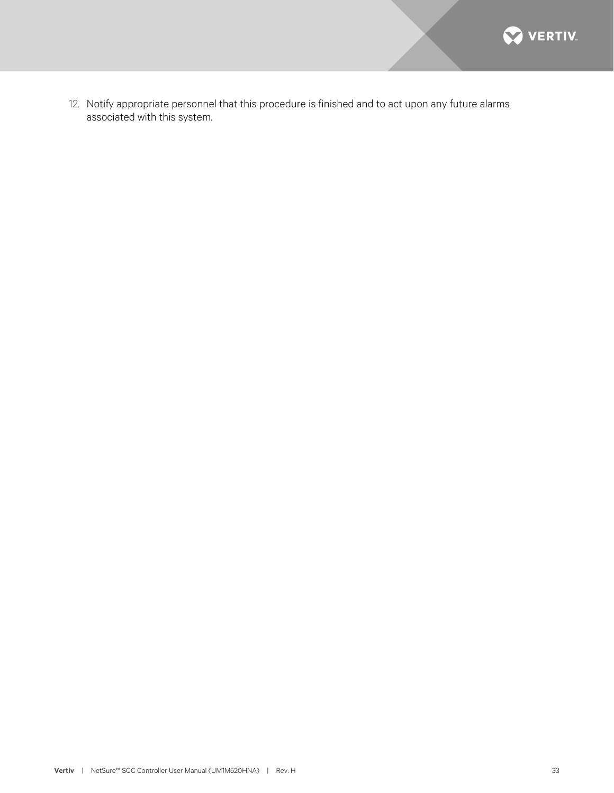

12. Notify appropriate personnel that this procedure is finished and to act upon any future alarms associated with this system.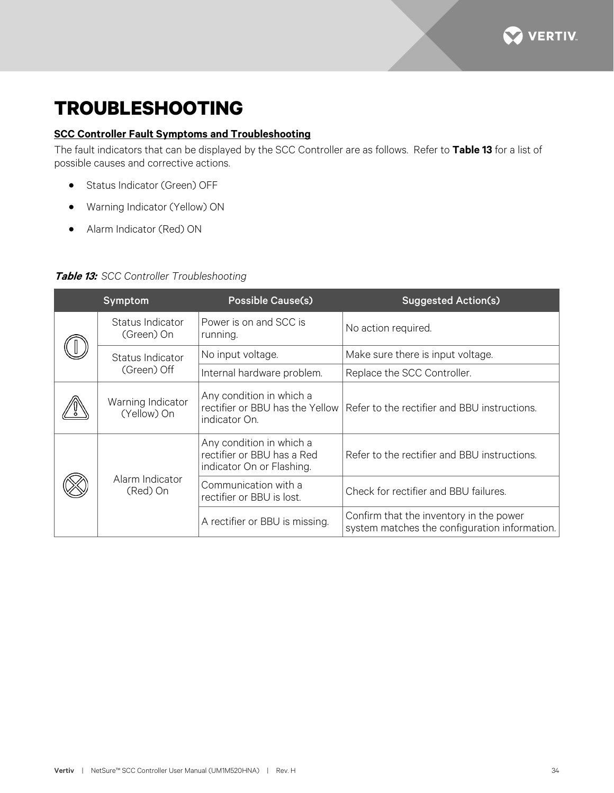

## <span id="page-33-0"></span>**TROUBLESHOOTING**

### **SCC Controller Fault Symptoms and Troubleshooting**

The fault indicators that can be displayed by the SCC Controller are as follows. Refer to **[Table 13](#page-33-1)** for a list of possible causes and corrective actions.

- Status Indicator (Green) OFF
- Warning Indicator (Yellow) ON
- Alarm Indicator (Red) ON

#### <span id="page-33-1"></span>**Table 13:** *SCC Controller Troubleshooting*

|  | Symptom                          | <b>Possible Cause(s)</b>                                                            | <b>Suggested Action(s)</b>                                                               |
|--|----------------------------------|-------------------------------------------------------------------------------------|------------------------------------------------------------------------------------------|
|  | Status Indicator<br>(Green) On   | Power is on and SCC is<br>running.                                                  | No action required.                                                                      |
|  | Status Indicator<br>(Green) Off  | No input voltage.                                                                   | Make sure there is input voltage.                                                        |
|  |                                  | Internal hardware problem.                                                          | Replace the SCC Controller.                                                              |
|  | Warning Indicator<br>(Yellow) On | Any condition in which a<br>rectifier or BBU has the Yellow<br>indicator On.        | Refer to the rectifier and BBU instructions.                                             |
|  | Alarm Indicator<br>(Red) On      | Any condition in which a<br>rectifier or BBU has a Red<br>indicator On or Flashing. | Refer to the rectifier and BBU instructions.                                             |
|  |                                  | Communication with a<br>rectifier or BBU is lost.                                   | Check for rectifier and BBU failures.                                                    |
|  |                                  | A rectifier or BBU is missing.                                                      | Confirm that the inventory in the power<br>system matches the configuration information. |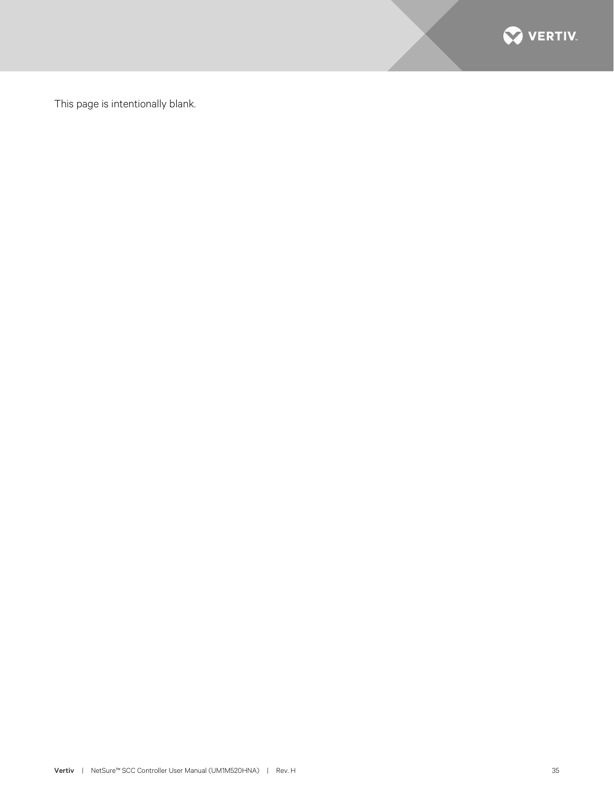

This page is intentionally blank.